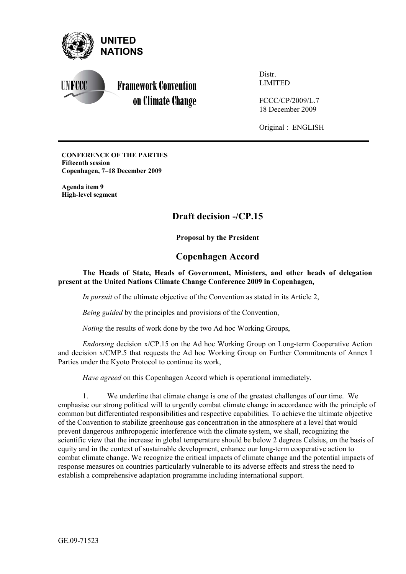



Distr. LIMITED

FCCC/CP/2009/L.7 18 December 2009

Original : ENGLISH

**CONFERENCE OF THE PARTIES Fifteenth session**  Copenhagen, 7–18 December 2009

**Agenda item 9 High-level segment** 

### **Draft decision -/CP.15**

**Proposal by the President** 

#### **Copenhagen Accord**

**The Heads of State, Heads of Government, Ministers, and other heads of delegation present at the United Nations Climate Change Conference 2009 in Copenhagen,** 

*In pursuit* of the ultimate objective of the Convention as stated in its Article 2,

*Being guided* by the principles and provisions of the Convention,

*Noting* the results of work done by the two Ad hoc Working Groups,

*Endorsing* decision x/CP.15 on the Ad hoc Working Group on Long-term Cooperative Action and decision x/CMP.5 that requests the Ad hoc Working Group on Further Commitments of Annex I Parties under the Kyoto Protocol to continue its work,

*Have agreed* on this Copenhagen Accord which is operational immediately.

1. We underline that climate change is one of the greatest challenges of our time. We emphasise our strong political will to urgently combat climate change in accordance with the principle of common but differentiated responsibilities and respective capabilities. To achieve the ultimate objective of the Convention to stabilize greenhouse gas concentration in the atmosphere at a level that would prevent dangerous anthropogenic interference with the climate system, we shall, recognizing the scientific view that the increase in global temperature should be below 2 degrees Celsius, on the basis of equity and in the context of sustainable development, enhance our long-term cooperative action to combat climate change. We recognize the critical impacts of climate change and the potential impacts of response measures on countries particularly vulnerable to its adverse effects and stress the need to establish a comprehensive adaptation programme including international support.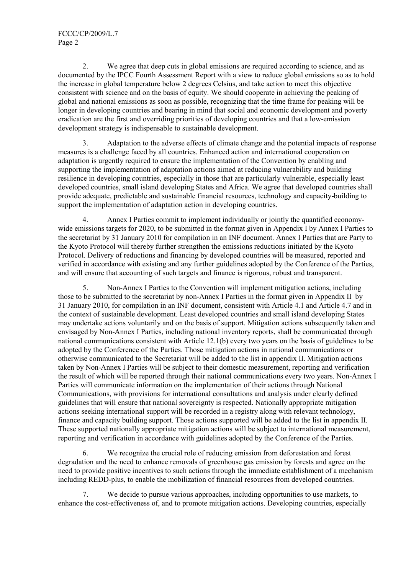2. We agree that deep cuts in global emissions are required according to science, and as documented by the IPCC Fourth Assessment Report with a view to reduce global emissions so as to hold the increase in global temperature below 2 degrees Celsius, and take action to meet this objective consistent with science and on the basis of equity. We should cooperate in achieving the peaking of global and national emissions as soon as possible, recognizing that the time frame for peaking will be longer in developing countries and bearing in mind that social and economic development and poverty eradication are the first and overriding priorities of developing countries and that a low-emission development strategy is indispensable to sustainable development.

3. Adaptation to the adverse effects of climate change and the potential impacts of response measures is a challenge faced by all countries. Enhanced action and international cooperation on adaptation is urgently required to ensure the implementation of the Convention by enabling and supporting the implementation of adaptation actions aimed at reducing vulnerability and building resilience in developing countries, especially in those that are particularly vulnerable, especially least developed countries, small island developing States and Africa. We agree that developed countries shall provide adequate, predictable and sustainable financial resources, technology and capacity-building to support the implementation of adaptation action in developing countries.

4. Annex I Parties commit to implement individually or jointly the quantified economywide emissions targets for 2020, to be submitted in the format given in Appendix I by Annex I Parties to the secretariat by 31 January 2010 for compilation in an INF document. Annex I Parties that are Party to the Kyoto Protocol will thereby further strengthen the emissions reductions initiated by the Kyoto Protocol. Delivery of reductions and financing by developed countries will be measured, reported and verified in accordance with existing and any further guidelines adopted by the Conference of the Parties, and will ensure that accounting of such targets and finance is rigorous, robust and transparent.

5. Non-Annex I Parties to the Convention will implement mitigation actions, including those to be submitted to the secretariat by non-Annex I Parties in the format given in Appendix II by 31 January 2010, for compilation in an INF document, consistent with Article 4.1 and Article 4.7 and in the context of sustainable development. Least developed countries and small island developing States may undertake actions voluntarily and on the basis of support. Mitigation actions subsequently taken and envisaged by Non-Annex I Parties, including national inventory reports, shall be communicated through national communications consistent with Article 12.1(b) every two years on the basis of guidelines to be adopted by the Conference of the Parties. Those mitigation actions in national communications or otherwise communicated to the Secretariat will be added to the list in appendix II. Mitigation actions taken by Non-Annex I Parties will be subject to their domestic measurement, reporting and verification the result of which will be reported through their national communications every two years. Non-Annex I Parties will communicate information on the implementation of their actions through National Communications, with provisions for international consultations and analysis under clearly defined guidelines that will ensure that national sovereignty is respected. Nationally appropriate mitigation actions seeking international support will be recorded in a registry along with relevant technology, finance and capacity building support. Those actions supported will be added to the list in appendix II. These supported nationally appropriate mitigation actions will be subject to international measurement, reporting and verification in accordance with guidelines adopted by the Conference of the Parties.

6. We recognize the crucial role of reducing emission from deforestation and forest degradation and the need to enhance removals of greenhouse gas emission by forests and agree on the need to provide positive incentives to such actions through the immediate establishment of a mechanism including REDD-plus, to enable the mobilization of financial resources from developed countries.

7. We decide to pursue various approaches, including opportunities to use markets, to enhance the cost-effectiveness of, and to promote mitigation actions. Developing countries, especially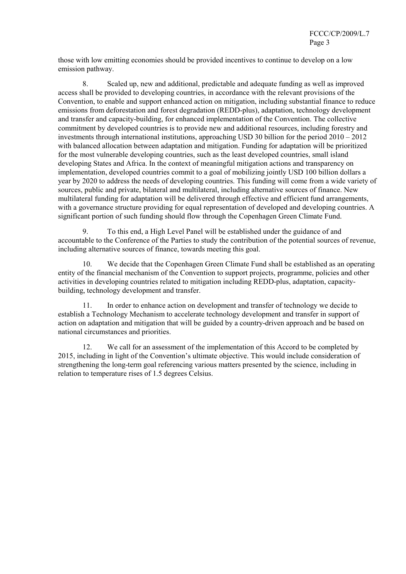those with low emitting economies should be provided incentives to continue to develop on a low emission pathway.

8. Scaled up, new and additional, predictable and adequate funding as well as improved access shall be provided to developing countries, in accordance with the relevant provisions of the Convention, to enable and support enhanced action on mitigation, including substantial finance to reduce emissions from deforestation and forest degradation (REDD-plus), adaptation, technology development and transfer and capacity-building, for enhanced implementation of the Convention. The collective commitment by developed countries is to provide new and additional resources, including forestry and investments through international institutions, approaching USD 30 billion for the period  $2010 - 2012$ with balanced allocation between adaptation and mitigation. Funding for adaptation will be prioritized for the most vulnerable developing countries, such as the least developed countries, small island developing States and Africa. In the context of meaningful mitigation actions and transparency on implementation, developed countries commit to a goal of mobilizing jointly USD 100 billion dollars a year by 2020 to address the needs of developing countries. This funding will come from a wide variety of sources, public and private, bilateral and multilateral, including alternative sources of finance. New multilateral funding for adaptation will be delivered through effective and efficient fund arrangements, with a governance structure providing for equal representation of developed and developing countries. A significant portion of such funding should flow through the Copenhagen Green Climate Fund.

9. To this end, a High Level Panel will be established under the guidance of and accountable to the Conference of the Parties to study the contribution of the potential sources of revenue, including alternative sources of finance, towards meeting this goal.

10. We decide that the Copenhagen Green Climate Fund shall be established as an operating entity of the financial mechanism of the Convention to support projects, programme, policies and other activities in developing countries related to mitigation including REDD-plus, adaptation, capacitybuilding, technology development and transfer.

11. In order to enhance action on development and transfer of technology we decide to establish a Technology Mechanism to accelerate technology development and transfer in support of action on adaptation and mitigation that will be guided by a country-driven approach and be based on national circumstances and priorities.

12. We call for an assessment of the implementation of this Accord to be completed by 2015, including in light of the Convention's ultimate objective. This would include consideration of strengthening the long-term goal referencing various matters presented by the science, including in relation to temperature rises of 1.5 degrees Celsius.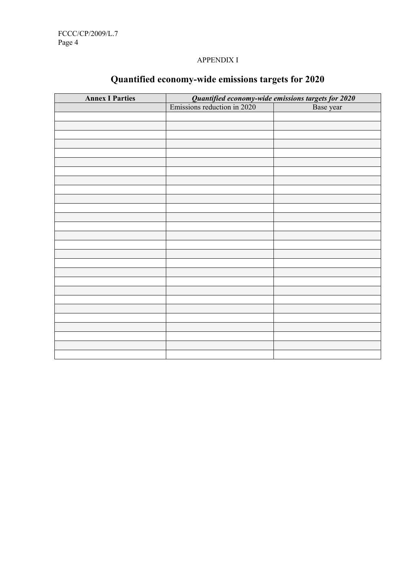### APPENDIX I

| <b>Annex I Parties</b> | <b>Quantified economy-wide emissions targets for 2020</b><br>Emissions reduction in 2020 Base year |  |
|------------------------|----------------------------------------------------------------------------------------------------|--|
|                        |                                                                                                    |  |
|                        |                                                                                                    |  |
|                        |                                                                                                    |  |
|                        |                                                                                                    |  |
|                        |                                                                                                    |  |
|                        |                                                                                                    |  |
|                        |                                                                                                    |  |
|                        |                                                                                                    |  |
|                        |                                                                                                    |  |
|                        |                                                                                                    |  |
|                        |                                                                                                    |  |
|                        |                                                                                                    |  |
|                        |                                                                                                    |  |
|                        |                                                                                                    |  |
|                        |                                                                                                    |  |
|                        |                                                                                                    |  |
|                        |                                                                                                    |  |
|                        |                                                                                                    |  |
|                        |                                                                                                    |  |
|                        |                                                                                                    |  |
|                        |                                                                                                    |  |
|                        |                                                                                                    |  |
|                        |                                                                                                    |  |
|                        |                                                                                                    |  |
|                        |                                                                                                    |  |
|                        |                                                                                                    |  |
|                        |                                                                                                    |  |
|                        |                                                                                                    |  |

# **Quantified economy-wide emissions targets for 2020**